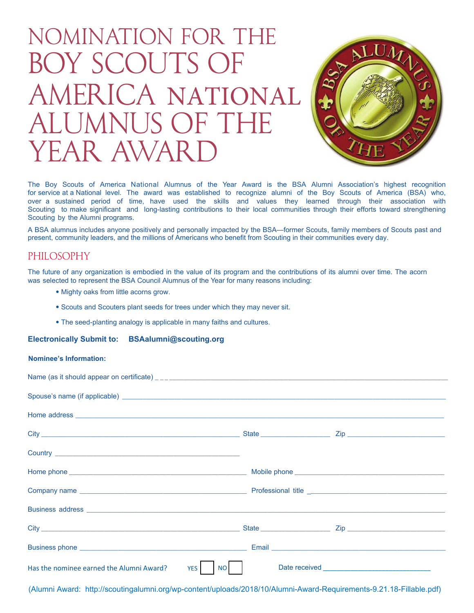# Nomination for the Boy Scouts of America NATIONAL ALUMNUS OF THE YEAR AWAR



The Boy Scouts of America National Alumnus of the Year Award is the BSA Alumni Association's highest recognition for service at a National level. The award was established to recognize alumni of the Boy Scouts of America (BSA) who, over a sustained period of time, have used the skills and values they learned through their association with Scouting to make significant and long-lasting contributions to their local communities through their efforts toward strengthening Scouting by the Alumni programs.

A BSA alumnus includes anyone positively and personally impacted by the BSA—former Scouts, family members of Scouts past and present, community leaders, and the millions of Americans who benefit from Scouting in their communities every day.

# PHILOSOPHY

The future of any organization is embodied in the value of its program and the contributions of its alumni over time. The acorn was selected to represent the BSA Council Alumnus of the Year for many reasons including:

- Mighty oaks from little acorns grow.
- Scouts and Scouters plant seeds for trees under which they may never sit.
- The seed-planting analogy is applicable in many faiths and cultures.

#### **Electronically Submit to: BSAalumni@scouting.org**

#### **Nominee's Information:**

| Spouse's name (if applicable) <b>contract to the contract of the contract of the contract of the contract of the contract of the contract of the contract of the contract of the contract of the contract of the contract of the</b> |  |
|--------------------------------------------------------------------------------------------------------------------------------------------------------------------------------------------------------------------------------------|--|
|                                                                                                                                                                                                                                      |  |
|                                                                                                                                                                                                                                      |  |
|                                                                                                                                                                                                                                      |  |
|                                                                                                                                                                                                                                      |  |
|                                                                                                                                                                                                                                      |  |
| Business address experience and the contract of the contract of the contract of the contract of the contract of the contract of the contract of the contract of the contract of the contract of the contract of the contract o       |  |
|                                                                                                                                                                                                                                      |  |
|                                                                                                                                                                                                                                      |  |
| Has the nominee earned the Alumni Award?<br>YES  <br><b>NO</b>                                                                                                                                                                       |  |

(Alumni Award: http://scoutingalumni.org/wp-content/uploads/2018/10/Alumni-Award-Requirements-9.21.18-Fillable.pdf)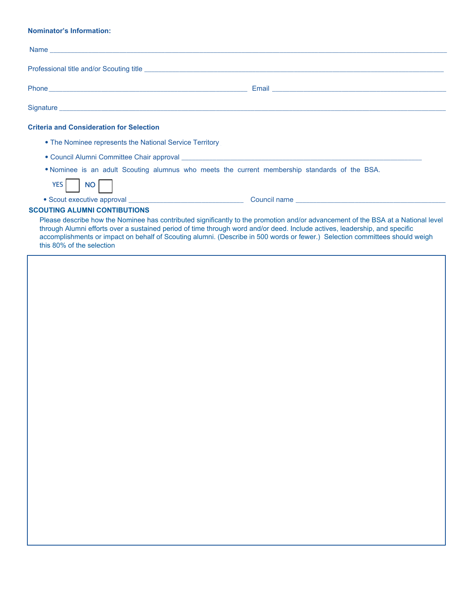#### **Nominator's Information:**

| Signature <b>contract and the contract of the contract of the contract of the contract of the contract of the contract of the contract of the contract of the contract of the contract of the contract of the contract of the co</b>                                                                                                                                                                                                                                                                                                                                                                                                                                |                                                                                                                                                                                                                                |
|---------------------------------------------------------------------------------------------------------------------------------------------------------------------------------------------------------------------------------------------------------------------------------------------------------------------------------------------------------------------------------------------------------------------------------------------------------------------------------------------------------------------------------------------------------------------------------------------------------------------------------------------------------------------|--------------------------------------------------------------------------------------------------------------------------------------------------------------------------------------------------------------------------------|
| <b>Criteria and Consideration for Selection</b>                                                                                                                                                                                                                                                                                                                                                                                                                                                                                                                                                                                                                     |                                                                                                                                                                                                                                |
| • The Nominee represents the National Service Territory                                                                                                                                                                                                                                                                                                                                                                                                                                                                                                                                                                                                             |                                                                                                                                                                                                                                |
|                                                                                                                                                                                                                                                                                                                                                                                                                                                                                                                                                                                                                                                                     |                                                                                                                                                                                                                                |
| . Nominee is an adult Scouting alumnus who meets the current membership standards of the BSA.                                                                                                                                                                                                                                                                                                                                                                                                                                                                                                                                                                       |                                                                                                                                                                                                                                |
| YES NO                                                                                                                                                                                                                                                                                                                                                                                                                                                                                                                                                                                                                                                              |                                                                                                                                                                                                                                |
|                                                                                                                                                                                                                                                                                                                                                                                                                                                                                                                                                                                                                                                                     | • Scout executive approval executive approval executive and the contract of the contract of the contract of the contract of the contract of the contract of the contract of the contract of the contract of the contract of th |
| <b>SCOUTING ALUMNI CONTIBUTIONS</b>                                                                                                                                                                                                                                                                                                                                                                                                                                                                                                                                                                                                                                 |                                                                                                                                                                                                                                |
| Please describe how the Nominee has contributed significantly to the promotion and/or advancement of the BSA at a National level<br>through Alumni efforts over a sustained period of time through word and/or deed. Include actives, leadership, and specific<br>accomplishments or impact on behalf of Scouting alumni. (Describe in 500 words or fewer.) Selection committees should weigh<br>$11.1 - 0.001 - 0.11 - 0.11 - 0.11 - 0.11 - 0.11 - 0.11 - 0.11 - 0.11 - 0.11 - 0.11 - 0.11 - 0.11 - 0.11 - 0.11 - 0.11 - 0.11 - 0.11 - 0.11 - 0.11 - 0.11 - 0.11 - 0.11 - 0.11 - 0.11 - 0.11 - 0.11 - 0.11 - 0.11 - 0.11 - 0.11 - 0.11 - 0.11 - 0.11 - 0.11 - 0.1$ |                                                                                                                                                                                                                                |

this 80% of the selection